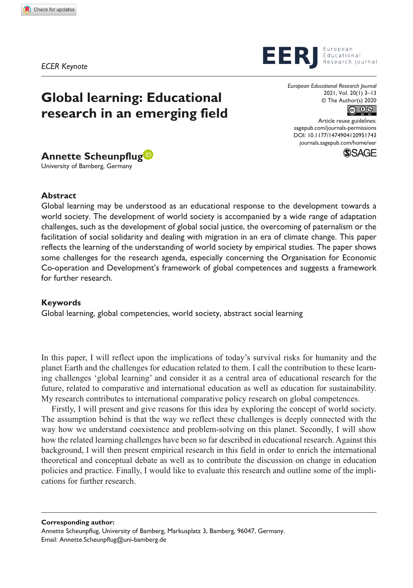*ECER Keynote*

# **Global learning: Educational research in an emerging field**



University of Bamberg, Germany

## **Abstract**

Global learning may be understood as an educational response to the development towards a world society. The development of world society is accompanied by a wide range of adaptation challenges, such as the development of global social justice, the overcoming of paternalism or the facilitation of social solidarity and dealing with migration in an era of climate change. This paper reflects the learning of the understanding of world society by empirical studies. The paper shows some challenges for the research agenda, especially concerning the Organisation for Economic Co-operation and Development's framework of global competences and suggests a framework for further research.

#### **Keywords**

Global learning, global competencies, world society, abstract social learning

In this paper, I will reflect upon the implications of today's survival risks for humanity and the planet Earth and the challenges for education related to them. I call the contribution to these learning challenges 'global learning' and consider it as a central area of educational research for the future, related to comparative and international education as well as education for sustainability. My research contributes to international comparative policy research on global competences.

Firstly, I will present and give reasons for this idea by exploring the concept of world society. The assumption behind is that the way we reflect these challenges is deeply connected with the way how we understand coexistence and problem-solving on this planet. Secondly, I will show how the related learning challenges have been so far described in educational research. Against this background, I will then present empirical research in this field in order to enrich the international theoretical and conceptual debate as well as to contribute the discussion on change in education policies and practice. Finally, I would like to evaluate this research and outline some of the implications for further research.

**Corresponding author:**

Annette Scheunpflug, University of Bamberg, Markusplatz 3, Bamberg, 96047, Germany. Email: [Annette.Scheunpflug@uni-bamberg.de](mailto:Annette.Scheunpflug@uni-bamberg.de)



European

*European Educational Research Journal* 2021, Vol. 20(1) 3–13 © The Author(s) 2020 



DOI: 10.1177/1474904120951743 Article reuse guidelines: [sagepub.com/journals-permissions](https://uk.sagepub.com/en-gb/journals-permissions) [journals.sagepub.com/home/eer](https://journals.sagepub.com/home/eer)

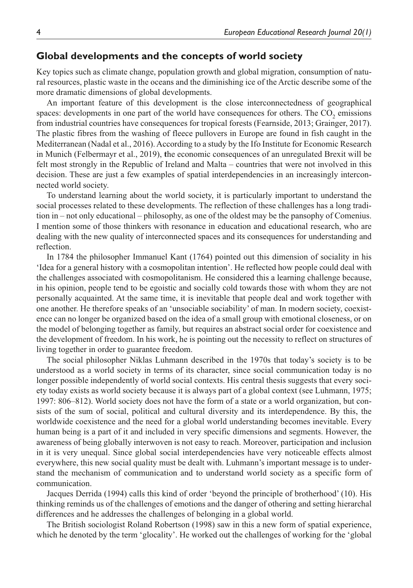## **Global developments and the concepts of world society**

Key topics such as climate change, population growth and global migration, consumption of natural resources, plastic waste in the oceans and the diminishing ice of the Arctic describe some of the more dramatic dimensions of global developments.

An important feature of this development is the close interconnectedness of geographical spaces: developments in one part of the world have consequences for others. The  $CO<sub>2</sub>$  emissions from industrial countries have consequences for tropical forests (Fearnside, 2013; Grainger, 2017). The plastic fibres from the washing of fleece pullovers in Europe are found in fish caught in the Mediterranean (Nadal et al., 2016). According to a study by the Ifo Institute for Economic Research in Munich (Felbermayr et al., 2019), **t**he economic consequences of an unregulated Brexit will be felt most strongly in the Republic of Ireland and Malta – countries that were not involved in this decision. These are just a few examples of spatial interdependencies in an increasingly interconnected world society.

To understand learning about the world society, it is particularly important to understand the social processes related to these developments. The reflection of these challenges has a long tradition in – not only educational – philosophy, as one of the oldest may be the pansophy of Comenius. I mention some of those thinkers with resonance in education and educational research, who are dealing with the new quality of interconnected spaces and its consequences for understanding and reflection.

In 1784 the philosopher Immanuel Kant (1764) pointed out this dimension of sociality in his 'Idea for a general history with a cosmopolitan intention'. He reflected how people could deal with the challenges associated with cosmopolitanism. He considered this a learning challenge because, in his opinion, people tend to be egoistic and socially cold towards those with whom they are not personally acquainted. At the same time, it is inevitable that people deal and work together with one another. He therefore speaks of an 'unsociable sociability' of man. In modern society, coexistence can no longer be organized based on the idea of a small group with emotional closeness, or on the model of belonging together as family, but requires an abstract social order for coexistence and the development of freedom. In his work, he is pointing out the necessity to reflect on structures of living together in order to guarantee freedom.

The social philosopher Niklas Luhmann described in the 1970s that today's society is to be understood as a world society in terms of its character, since social communication today is no longer possible independently of world social contexts. His central thesis suggests that every society today exists as world society because it is always part of a global context (see Luhmann, 1975; 1997: 806–812). World society does not have the form of a state or a world organization, but consists of the sum of social, political and cultural diversity and its interdependence. By this, the worldwide coexistence and the need for a global world understanding becomes inevitable. Every human being is a part of it and included in very specific dimensions and segments. However, the awareness of being globally interwoven is not easy to reach. Moreover, participation and inclusion in it is very unequal. Since global social interdependencies have very noticeable effects almost everywhere, this new social quality must be dealt with. Luhmann's important message is to understand the mechanism of communication and to understand world society as a specific form of communication.

Jacques Derrida (1994) calls this kind of order 'beyond the principle of brotherhood' (10). His thinking reminds us of the challenges of emotions and the danger of othering and setting hierarchal differences and he addresses the challenges of belonging in a global world.

The British sociologist Roland Robertson (1998) saw in this a new form of spatial experience, which he denoted by the term 'glocality'. He worked out the challenges of working for the 'global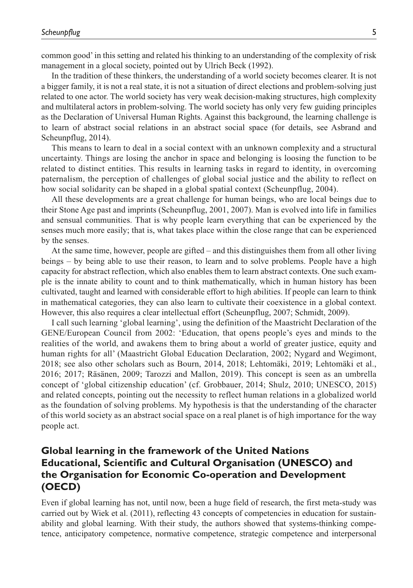common good' in this setting and related his thinking to an understanding of the complexity of risk management in a glocal society, pointed out by Ulrich Beck (1992).

In the tradition of these thinkers, the understanding of a world society becomes clearer. It is not a bigger family, it is not a real state, it is not a situation of direct elections and problem-solving just related to one actor. The world society has very weak decision-making structures, high complexity and multilateral actors in problem-solving. The world society has only very few guiding principles as the Declaration of Universal Human Rights. Against this background, the learning challenge is to learn of abstract social relations in an abstract social space (for details, see Asbrand and Scheunpflug, 2014).

This means to learn to deal in a social context with an unknown complexity and a structural uncertainty. Things are losing the anchor in space and belonging is loosing the function to be related to distinct entities. This results in learning tasks in regard to identity, in overcoming paternalism, the perception of challenges of global social justice and the ability to reflect on how social solidarity can be shaped in a global spatial context (Scheunpflug, 2004).

All these developments are a great challenge for human beings, who are local beings due to their Stone Age past and imprints (Scheunpflug, 2001, 2007). Man is evolved into life in families and sensual communities. That is why people learn everything that can be experienced by the senses much more easily; that is, what takes place within the close range that can be experienced by the senses.

At the same time, however, people are gifted – and this distinguishes them from all other living beings – by being able to use their reason, to learn and to solve problems. People have a high capacity for abstract reflection, which also enables them to learn abstract contexts. One such example is the innate ability to count and to think mathematically, which in human history has been cultivated, taught and learned with considerable effort to high abilities. If people can learn to think in mathematical categories, they can also learn to cultivate their coexistence in a global context. However, this also requires a clear intellectual effort (Scheunpflug, 2007; Schmidt, 2009).

I call such learning 'global learning', using the definition of the Maastricht Declaration of the GENE/European Council from 2002: 'Education, that opens people's eyes and minds to the realities of the world, and awakens them to bring about a world of greater justice, equity and human rights for all' (Maastricht Global Education Declaration, 2002; Nygard and Wegimont, 2018; see also other scholars such as Bourn, 2014, 2018; Lehtomäki, 2019; Lehtomäki et al., 2016; 2017; Räsänen, 2009; Tarozzi and Mallon, 2019). This concept is seen as an umbrella concept of 'global citizenship education' (cf. Grobbauer, 2014; Shulz, 2010; UNESCO, 2015) and related concepts, pointing out the necessity to reflect human relations in a globalized world as the foundation of solving problems. My hypothesis is that the understanding of the character of this world society as an abstract social space on a real planet is of high importance for the way people act.

## **Global learning in the framework of the United Nations Educational, Scientific and Cultural Organisation (UNESCO) and the Organisation for Economic Co-operation and Development (OECD)**

Even if global learning has not, until now, been a huge field of research, the first meta-study was carried out by Wiek et al. (2011), reflecting 43 concepts of competencies in education for sustainability and global learning. With their study, the authors showed that systems-thinking competence, anticipatory competence, normative competence, strategic competence and interpersonal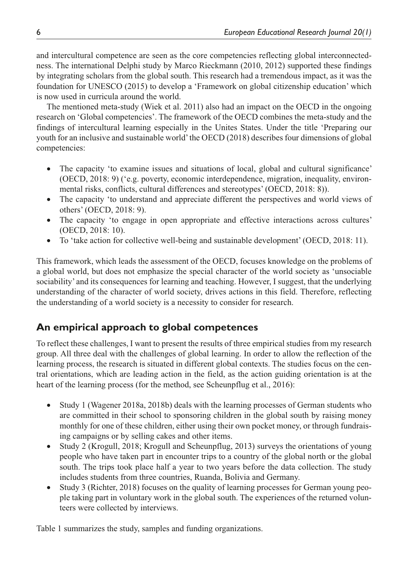and intercultural competence are seen as the core competencies reflecting global interconnectedness. The international Delphi study by Marco Rieckmann (2010, 2012) supported these findings by integrating scholars from the global south. This research had a tremendous impact, as it was the foundation for UNESCO (2015) to develop a 'Framework on global citizenship education' which is now used in curricula around the world.

The mentioned meta-study (Wiek et al. 2011) also had an impact on the OECD in the ongoing research on 'Global competencies'. The framework of the OECD combines the meta-study and the findings of intercultural learning especially in the Unites States. Under the title 'Preparing our youth for an inclusive and sustainable world' the OECD (2018) describes four dimensions of global competencies:

- The capacity 'to examine issues and situations of local, global and cultural significance' (OECD, 2018: 9) ('e.g. poverty, economic interdependence, migration, inequality, environmental risks, conflicts, cultural differences and stereotypes' (OECD, 2018: 8)).
- The capacity 'to understand and appreciate different the perspectives and world views of others' (OECD, 2018: 9).
- The capacity 'to engage in open appropriate and effective interactions across cultures' (OECD, 2018: 10).
- To 'take action for collective well-being and sustainable development' (OECD, 2018: 11).

This framework, which leads the assessment of the OECD, focuses knowledge on the problems of a global world, but does not emphasize the special character of the world society as 'unsociable sociability' and its consequences for learning and teaching. However, I suggest, that the underlying understanding of the character of world society, drives actions in this field. Therefore, reflecting the understanding of a world society is a necessity to consider for research.

## **An empirical approach to global competences**

To reflect these challenges, I want to present the results of three empirical studies from my research group. All three deal with the challenges of global learning. In order to allow the reflection of the learning process, the research is situated in different global contexts. The studies focus on the central orientations, which are leading action in the field, as the action guiding orientation is at the heart of the learning process (for the method, see Scheunpflug et al., 2016):

- Study 1 (Wagener 2018a, 2018b) deals with the learning processes of German students who are committed in their school to sponsoring children in the global south by raising money monthly for one of these children, either using their own pocket money, or through fundraising campaigns or by selling cakes and other items.
- •• Study 2 (Krogull, 2018; Krogull and Scheunpflug, 2013) surveys the orientations of young people who have taken part in encounter trips to a country of the global north or the global south. The trips took place half a year to two years before the data collection. The study includes students from three countries, Ruanda, Bolivia and Germany.
- Study 3 (Richter, 2018) focuses on the quality of learning processes for German young people taking part in voluntary work in the global south. The experiences of the returned volunteers were collected by interviews.

Table 1 summarizes the study, samples and funding organizations.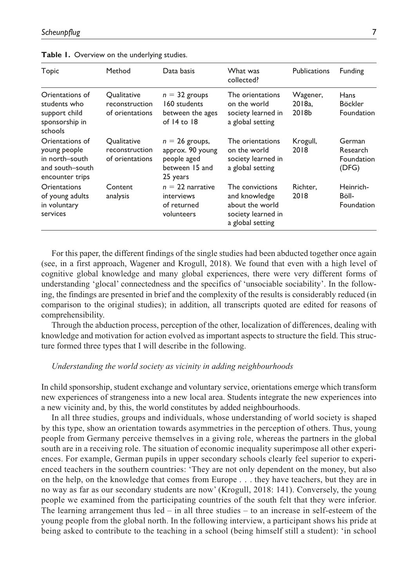| Topic                                                                                   | Method                                                  | Data basis                                                                        | What was<br>collected?                                                                        | Publications                | Funding                                     |
|-----------------------------------------------------------------------------------------|---------------------------------------------------------|-----------------------------------------------------------------------------------|-----------------------------------------------------------------------------------------------|-----------------------------|---------------------------------------------|
| Orientations of<br>students who<br>support child<br>sponsorship in<br>schools           | Qualitative<br>reconstruction<br>of orientations        | $n = 32$ groups<br>160 students<br>between the ages<br>of $14$ to $18$            | The orientations<br>on the world<br>society learned in<br>a global setting                    | Wagener,<br>2018a.<br>2018b | <b>Hans</b><br><b>Böckler</b><br>Foundation |
| Orientations of<br>young people<br>in north-south<br>and south-south<br>encounter trips | <b>Oualitative</b><br>reconstruction<br>of orientations | $n = 26$ groups,<br>approx. 90 young<br>people aged<br>between 15 and<br>25 years | The orientations<br>on the world<br>society learned in<br>a global setting                    | Krogull,<br>2018            | German<br>Research<br>Foundation<br>(DFG)   |
| Orientations<br>of young adults<br>in voluntary<br>services                             | Content<br>analysis                                     | $n = 22$ narrative<br>interviews<br>of returned<br>volunteers                     | The convictions<br>and knowledge<br>about the world<br>society learned in<br>a global setting | Richter.<br>2018            | Heinrich-<br>Böll-<br><b>Foundation</b>     |

|  |  |  |  |  | Table 1. Overview on the underlying studies. |  |
|--|--|--|--|--|----------------------------------------------|--|
|--|--|--|--|--|----------------------------------------------|--|

For this paper, the different findings of the single studies had been abducted together once again (see, in a first approach, Wagener and Krogull, 2018). We found that even with a high level of cognitive global knowledge and many global experiences, there were very different forms of understanding 'glocal' connectedness and the specifics of 'unsociable sociability'. In the following, the findings are presented in brief and the complexity of the results is considerably reduced (in comparison to the original studies); in addition, all transcripts quoted are edited for reasons of comprehensibility.

Through the abduction process, perception of the other, localization of differences, dealing with knowledge and motivation for action evolved as important aspects to structure the field. This structure formed three types that I will describe in the following.

#### *Understanding the world society as vicinity in adding neighbourhoods*

In child sponsorship, student exchange and voluntary service, orientations emerge which transform new experiences of strangeness into a new local area. Students integrate the new experiences into a new vicinity and, by this, the world constitutes by added neighbourhoods.

In all three studies, groups and individuals, whose understanding of world society is shaped by this type, show an orientation towards asymmetries in the perception of others. Thus, young people from Germany perceive themselves in a giving role, whereas the partners in the global south are in a receiving role. The situation of economic inequality superimpose all other experiences. For example, German pupils in upper secondary schools clearly feel superior to experienced teachers in the southern countries: 'They are not only dependent on the money, but also on the help, on the knowledge that comes from Europe . . . they have teachers, but they are in no way as far as our secondary students are now' (Krogull, 2018: 141). Conversely, the young people we examined from the participating countries of the south felt that they were inferior. The learning arrangement thus  $led - in$  all three studies  $-$  to an increase in self-esteem of the young people from the global north. In the following interview, a participant shows his pride at being asked to contribute to the teaching in a school (being himself still a student): 'in school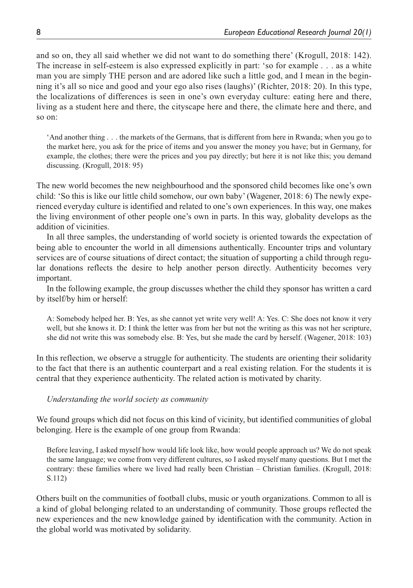and so on, they all said whether we did not want to do something there' (Krogull, 2018: 142). The increase in self-esteem is also expressed explicitly in part: 'so for example . . . as a white man you are simply THE person and are adored like such a little god, and I mean in the beginning it's all so nice and good and your ego also rises (laughs)' (Richter, 2018: 20). In this type, the localizations of differences is seen in one's own everyday culture: eating here and there, living as a student here and there, the cityscape here and there, the climate here and there, and so on:

'And another thing . . . the markets of the Germans, that is different from here in Rwanda; when you go to the market here, you ask for the price of items and you answer the money you have; but in Germany, for example, the clothes; there were the prices and you pay directly; but here it is not like this; you demand discussing. (Krogull, 2018: 95)

The new world becomes the new neighbourhood and the sponsored child becomes like one's own child: 'So this is like our little child somehow, our own baby' (Wagener, 2018: 6) The newly experienced everyday culture is identified and related to one's own experiences. In this way, one makes the living environment of other people one's own in parts. In this way, globality develops as the addition of vicinities.

In all three samples, the understanding of world society is oriented towards the expectation of being able to encounter the world in all dimensions authentically. Encounter trips and voluntary services are of course situations of direct contact; the situation of supporting a child through regular donations reflects the desire to help another person directly. Authenticity becomes very important.

In the following example, the group discusses whether the child they sponsor has written a card by itself/by him or herself:

A: Somebody helped her. B: Yes, as she cannot yet write very well! A: Yes. C: She does not know it very well, but she knows it. D: I think the letter was from her but not the writing as this was not her scripture, she did not write this was somebody else. B: Yes, but she made the card by herself. (Wagener, 2018: 103)

In this reflection, we observe a struggle for authenticity. The students are orienting their solidarity to the fact that there is an authentic counterpart and a real existing relation. For the students it is central that they experience authenticity. The related action is motivated by charity.

### *Understanding the world society as community*

We found groups which did not focus on this kind of vicinity, but identified communities of global belonging. Here is the example of one group from Rwanda:

Before leaving, I asked myself how would life look like, how would people approach us? We do not speak the same language; we come from very different cultures, so I asked myself many questions. But I met the contrary: these families where we lived had really been Christian – Christian families. (Krogull, 2018: S.112)

Others built on the communities of football clubs, music or youth organizations. Common to all is a kind of global belonging related to an understanding of community. Those groups reflected the new experiences and the new knowledge gained by identification with the community. Action in the global world was motivated by solidarity.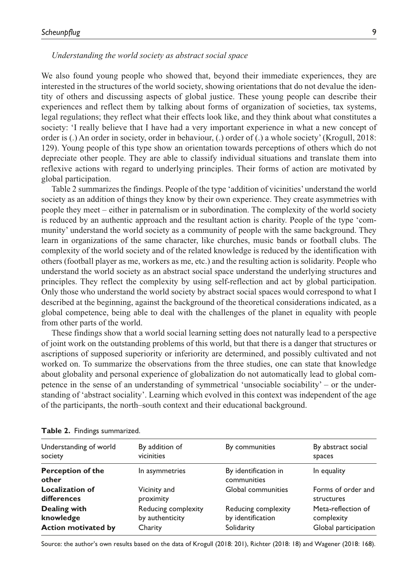#### *Understanding the world society as abstract social space*

We also found young people who showed that, beyond their immediate experiences, they are interested in the structures of the world society, showing orientations that do not devalue the identity of others and discussing aspects of global justice. These young people can describe their experiences and reflect them by talking about forms of organization of societies, tax systems, legal regulations; they reflect what their effects look like, and they think about what constitutes a society: 'I really believe that I have had a very important experience in what a new concept of order is (.) An order in society, order in behaviour, (.) order of (.) a whole society' (Krogull, 2018: 129). Young people of this type show an orientation towards perceptions of others which do not depreciate other people. They are able to classify individual situations and translate them into reflexive actions with regard to underlying principles. Their forms of action are motivated by global participation.

Table 2 summarizes the findings. People of the type 'addition of vicinities' understand the world society as an addition of things they know by their own experience. They create asymmetries with people they meet – either in paternalism or in subordination. The complexity of the world society is reduced by an authentic approach and the resultant action is charity. People of the type 'community' understand the world society as a community of people with the same background. They learn in organizations of the same character, like churches, music bands or football clubs. The complexity of the world society and of the related knowledge is reduced by the identification with others (football player as me, workers as me, etc.) and the resulting action is solidarity. People who understand the world society as an abstract social space understand the underlying structures and principles. They reflect the complexity by using self-reflection and act by global participation. Only those who understand the world society by abstract social spaces would correspond to what I described at the beginning, against the background of the theoretical considerations indicated, as a global competence, being able to deal with the challenges of the planet in equality with people from other parts of the world.

These findings show that a world social learning setting does not naturally lead to a perspective of joint work on the outstanding problems of this world, but that there is a danger that structures or ascriptions of supposed superiority or inferiority are determined, and possibly cultivated and not worked on. To summarize the observations from the three studies, one can state that knowledge about globality and personal experience of globalization do not automatically lead to global competence in the sense of an understanding of symmetrical 'unsociable sociability' – or the understanding of 'abstract sociality'. Learning which evolved in this context was independent of the age of the participants, the north–south context and their educational background.

| By addition of<br>vicinities                      | By communities                                         | By abstract social<br>spaces                             |
|---------------------------------------------------|--------------------------------------------------------|----------------------------------------------------------|
| In asymmetries                                    | By identification in<br>communities                    | In equality                                              |
| Vicinity and<br>proximity                         | Global communities                                     | Forms of order and<br>structures                         |
| Reducing complexity<br>by authenticity<br>Charity | Reducing complexity<br>by identification<br>Solidarity | Meta-reflection of<br>complexity<br>Global participation |
|                                                   |                                                        |                                                          |

| Table 2. Findings summarized. |  |
|-------------------------------|--|
|-------------------------------|--|

Source: the author's own results based on the data of Krogull (2018: 201), Richter (2018: 18) and Wagener (2018: 168).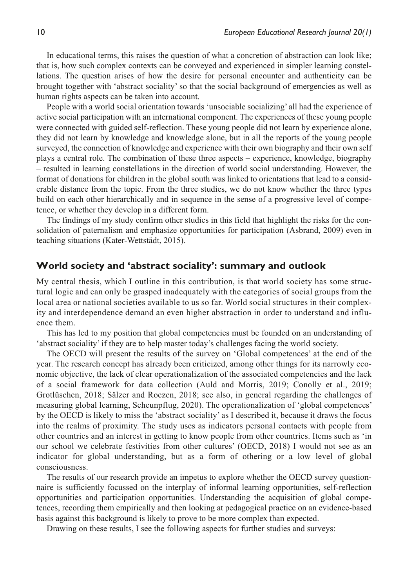In educational terms, this raises the question of what a concretion of abstraction can look like; that is, how such complex contexts can be conveyed and experienced in simpler learning constellations. The question arises of how the desire for personal encounter and authenticity can be brought together with 'abstract sociality' so that the social background of emergencies as well as human rights aspects can be taken into account.

People with a world social orientation towards 'unsociable socializing' all had the experience of active social participation with an international component. The experiences of these young people were connected with guided self-reflection. These young people did not learn by experience alone, they did not learn by knowledge and knowledge alone, but in all the reports of the young people surveyed, the connection of knowledge and experience with their own biography and their own self plays a central role. The combination of these three aspects – experience, knowledge, biography – resulted in learning constellations in the direction of world social understanding. However, the format of donations for children in the global south was linked to orientations that lead to a considerable distance from the topic. From the three studies, we do not know whether the three types build on each other hierarchically and in sequence in the sense of a progressive level of competence, or whether they develop in a different form.

The findings of my study confirm other studies in this field that highlight the risks for the consolidation of paternalism and emphasize opportunities for participation (Asbrand, 2009) even in teaching situations (Kater-Wettstädt, 2015).

## **World society and 'abstract sociality': summary and outlook**

My central thesis, which I outline in this contribution, is that world society has some structural logic and can only be grasped inadequately with the categories of social groups from the local area or national societies available to us so far. World social structures in their complexity and interdependence demand an even higher abstraction in order to understand and influence them.

This has led to my position that global competencies must be founded on an understanding of 'abstract sociality' if they are to help master today's challenges facing the world society.

The OECD will present the results of the survey on 'Global competences' at the end of the year. The research concept has already been criticized, among other things for its narrowly economic objective, the lack of clear operationalization of the associated competencies and the lack of a social framework for data collection (Auld and Morris, 2019; Conolly et al., 2019; Grotlüschen, 2018; Sälzer and Roczen, 2018; see also, in general regarding the challenges of measuring global learning, Scheunpflug, 2020). The operationalization of 'global competences' by the OECD is likely to miss the 'abstract sociality' as I described it, because it draws the focus into the realms of proximity. The study uses as indicators personal contacts with people from other countries and an interest in getting to know people from other countries. Items such as 'in our school we celebrate festivities from other cultures' (OECD, 2018) I would not see as an indicator for global understanding, but as a form of othering or a low level of global consciousness.

The results of our research provide an impetus to explore whether the OECD survey questionnaire is sufficiently focussed on the interplay of informal learning opportunities, self-reflection opportunities and participation opportunities. Understanding the acquisition of global competences, recording them empirically and then looking at pedagogical practice on an evidence-based basis against this background is likely to prove to be more complex than expected.

Drawing on these results, I see the following aspects for further studies and surveys: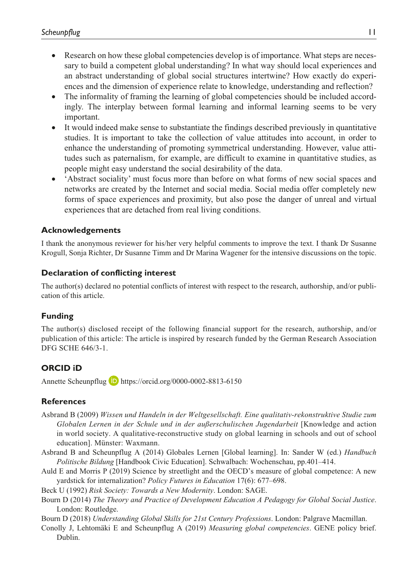- Research on how these global competencies develop is of importance. What steps are necessary to build a competent global understanding? In what way should local experiences and an abstract understanding of global social structures intertwine? How exactly do experiences and the dimension of experience relate to knowledge, understanding and reflection?
- The informality of framing the learning of global competencies should be included accordingly. The interplay between formal learning and informal learning seems to be very important.
- It would indeed make sense to substantiate the findings described previously in quantitative studies. It is important to take the collection of value attitudes into account, in order to enhance the understanding of promoting symmetrical understanding. However, value attitudes such as paternalism, for example, are difficult to examine in quantitative studies, as people might easy understand the social desirability of the data.
- •• 'Abstract sociality' must focus more than before on what forms of new social spaces and networks are created by the Internet and social media. Social media offer completely new forms of space experiences and proximity, but also pose the danger of unreal and virtual experiences that are detached from real living conditions.

## **Acknowledgements**

I thank the anonymous reviewer for his/her very helpful comments to improve the text. I thank Dr Susanne Krogull, Sonja Richter, Dr Susanne Timm and Dr Marina Wagener for the intensive discussions on the topic.

## **Declaration of conflicting interest**

The author(s) declared no potential conflicts of interest with respect to the research, authorship, and/or publication of this article.

## **Funding**

The author(s) disclosed receipt of the following financial support for the research, authorship, and/or publication of this article: The article is inspired by research funded by the German Research Association DFG SCHE 646/3-1.

## **ORCID iD**

Annette Scheunpflug **D** <https://orcid.org/0000-0002-8813-6150>

## **References**

- Asbrand B (2009) *Wissen und Handeln in der Weltgesellschaft. Eine qualitativ-rekonstruktive Studie zum Globalen Lernen in der Schule und in der außerschulischen Jugendarbeit* [Knowledge and action in world society. A qualitative-reconstructive study on global learning in schools and out of school education]. Münster: Waxmann.
- Asbrand B and Scheunpflug A (2014) Globales Lernen [Global learning]. In: Sander W (ed.) *Handbuch Politische Bildung* [Handbook Civic Education]. Schwalbach: Wochenschau, pp.401–414.
- Auld E and Morris P (2019) Science by streetlight and the OECD's measure of global competence: A new yardstick for internalization? *Policy Futures in Education* 17(6): 677–698.
- Beck U (1992) *Risk Society: Towards a New Modernity*. London: SAGE.
- Bourn D (2014) *The Theory and Practice of Development Education A Pedagogy for Global Social Justice*. London: Routledge.
- Bourn D (2018) *Understanding Global Skills for 21st Century Professions*. London: Palgrave Macmillan.
- Conolly J, Lehtomäki E and Scheunpflug A (2019) *Measuring global competencies*. GENE policy brief. Dublin.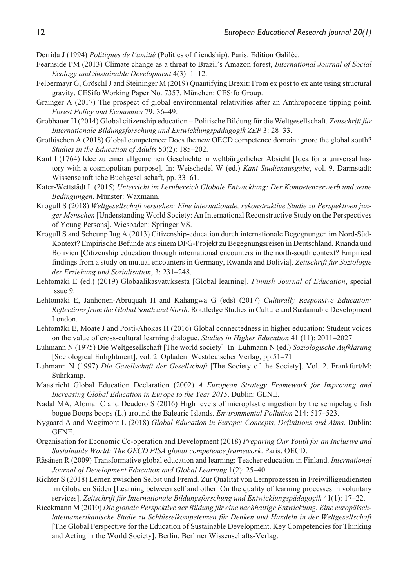Derrida J (1994) *Politiques de l'amitié* (Politics of friendship). Paris: Edition Galilée.

- Fearnside PM (2013) Climate change as a threat to Brazil's Amazon forest, *International Journal of Social Ecology and Sustainable Development* 4(3): 1–12.
- Felbermayr G, Gröschl J and Steininger M (2019) Quantifying Brexit: From ex post to ex ante using structural gravity. CESifo Working Paper No. 7357. München: CESifo Group.
- Grainger A (2017) The prospect of global environmental relativities after an Anthropocene tipping point. *Forest Policy and Economics* 79: 36–49.
- Grobbauer H (2014) Global citizenship education Politische Bildung für die Weltgesellschaft. *Zeitschrift für Internationale Bildungsforschung und Entwicklungspädagogik ZEP* 3: 28–33.
- Grotlüschen A (2018) Global competence: Does the new OECD competence domain ignore the global south? *Studies in the Education of Adults* 50(2): 185–202.
- Kant I (1764) Idee zu einer allgemeinen Geschichte in weltbürgerlicher Absicht [Idea for a universal history with a cosmopolitan purpose]. In: Weischedel W (ed.) *Kant Studienausgabe*, vol. 9. Darmstadt: Wissenschaftliche Buchgesellschaft, pp. 33–61.
- Kater-Wettstädt L (2015) *Unterricht im Lernbereich Globale Entwicklung: Der Kompetenzerwerb und seine Bedingungen*. Münster: Waxmann.
- Krogull S (2018) *Weltgesellschaft verstehen: Eine internationale, rekonstruktive Studie zu Perspektiven junger Menschen* [Understanding World Society: An International Reconstructive Study on the Perspectives of Young Persons]. Wiesbaden: Springer VS.
- Krogull S and Scheunpflug A (2013) Citizenship-education durch internationale Begegnungen im Nord-Süd-Kontext? Empirische Befunde aus einem DFG-Projekt zu Begegnungsreisen in Deutschland, Ruanda und Bolivien [Citizenship education through international encounters in the north-south context? Empirical findings from a study on mutual encounters in Germany, Rwanda and Bolivia]. *Zeitschrift für Soziologie der Erziehung und Sozialisation*, 3: 231–248.
- Lehtomäki E (ed.) (2019) Globaalikasvatuksesta [Global learning]. *Finnish Journal of Education*, special issue 9.
- Lehtomäki E, Janhonen-Abruquah H and Kahangwa G (eds) (2017) *Culturally Responsive Education: Reflections from the Global South and North*. Routledge Studies in Culture and Sustainable Development London.
- Lehtomäki E, Moate J and Posti-Ahokas H (2016) Global connectedness in higher education: Student voices on the value of cross-cultural learning dialogue. *Studies in Higher Education* 41 (11): 2011–2027.
- Luhmann N (1975) Die Weltgesellschaft [The world society]. In: Luhmann N (ed.) *Soziologische Aufklärung* [Sociological Enlightment], vol. 2. Opladen: Westdeutscher Verlag, pp.51–71.
- Luhmann N (1997) *Die Gesellschaft der Gesellschaft* [The Society of the Society]. Vol. 2. Frankfurt/M: Suhrkamp.
- Maastricht Global Education Declaration (2002) *A European Strategy Framework for Improving and Increasing Global Education in Europe to the Year 2015*. Dublin: GENE.
- Nadal MA, Alomar C and Deudero S (2016) High levels of microplastic ingestion by the semipelagic fish bogue Boops boops (L.) around the Balearic Islands. *Environmental Pollution* 214: 517–523.
- Nygaard A and Wegimont L (2018) *Global Education in Europe: Concepts, Definitions and Aims*. Dublin: GENE.
- Organisation for Economic Co-operation and Development (2018) *Preparing Our Youth for an Inclusive and Sustainable World: The OECD PISA global competence framework*. Paris: OECD.
- Räsänen R (2009) Transformative global education and learning: Teacher education in Finland. *International Journal of Development Education and Global Learning* 1(2): 25–40.
- Richter S (2018) Lernen zwischen Selbst und Fremd. Zur Qualität von Lernprozessen in Freiwilligendiensten im Globalen Süden [Learning between self and other. On the quality of learning processes in voluntary services]. *Zeitschrift für Internationale Bildungsforschung und Entwicklungspädagogik* 41(1): 17–22.
- Rieckmann M (2010) *Die globale Perspektive der Bildung für eine nachhaltige Entwicklung. Eine europäischlateinamerikanische Studie zu Schlüsselkompetenzen für Denken und Handeln in der Weltgesellschaft* [The Global Perspective for the Education of Sustainable Development. Key Competencies for Thinking and Acting in the World Society]. Berlin: Berliner Wissenschafts-Verlag.